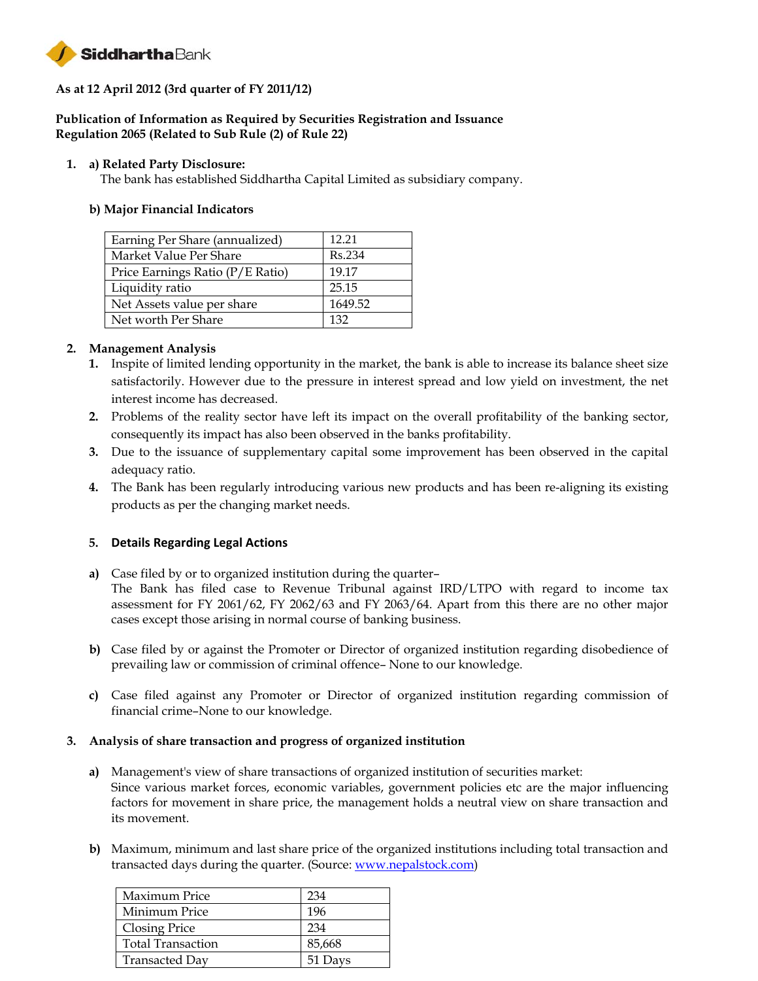

# **As at 12 April 2012 (3rd quarter of FY 2011/12)**

## **Publication of Information as Required by Securities Registration and Issuance Regulation 2065 (Related to Sub Rule (2) of Rule 22)**

### **1. a) Related Party Disclosure:**

The bank has established Siddhartha Capital Limited as subsidiary company.

### **b) Major Financial Indicators**

| Earning Per Share (annualized)   | 12.21               |
|----------------------------------|---------------------|
| Market Value Per Share           | R <sub>s</sub> .234 |
| Price Earnings Ratio (P/E Ratio) | 19.17               |
| Liquidity ratio                  | 25.15               |
| Net Assets value per share       | 1649.52             |
| Net worth Per Share              | 132                 |

## **2. Management Analysis**

- **1.** Inspite of limited lending opportunity in the market, the bank is able to increase its balance sheet size satisfactorily. However due to the pressure in interest spread and low yield on investment, the net interest income has decreased.
- **2.** Problems of the reality sector have left its impact on the overall profitability of the banking sector, consequently its impact has also been observed in the banks profitability.
- **3.** Due to the issuance of supplementary capital some improvement has been observed in the capital adequacy ratio.
- **4.** The Bank has been regularly introducing various new products and has been re-aligning its existing products as per the changing market needs.

## **5. Details Regarding Legal Actions**

- **a)** Case filed by or to organized institution during the quarter– The Bank has filed case to Revenue Tribunal against IRD/LTPO with regard to income tax assessment for FY 2061/62, FY 2062/63 and FY 2063/64. Apart from this there are no other major cases except those arising in normal course of banking business.
- **b)** Case filed by or against the Promoter or Director of organized institution regarding disobedience of prevailing law or commission of criminal offence– None to our knowledge.
- **c)** Case filed against any Promoter or Director of organized institution regarding commission of financial crime–None to our knowledge.

#### **3. Analysis of share transaction and progress of organized institution**

- **a)** Management's view of share transactions of organized institution of securities market: Since various market forces, economic variables, government policies etc are the major influencing factors for movement in share price, the management holds a neutral view on share transaction and its movement.
- **b)** Maximum, minimum and last share price of the organized institutions including total transaction and transacted days during the quarter. (Source: www.nepalstock.com)

| Maximum Price            | 234     |
|--------------------------|---------|
| Minimum Price            | 196     |
| Closing Price            | 234     |
| <b>Total Transaction</b> | 85,668  |
| Transacted Day           | 51 Days |